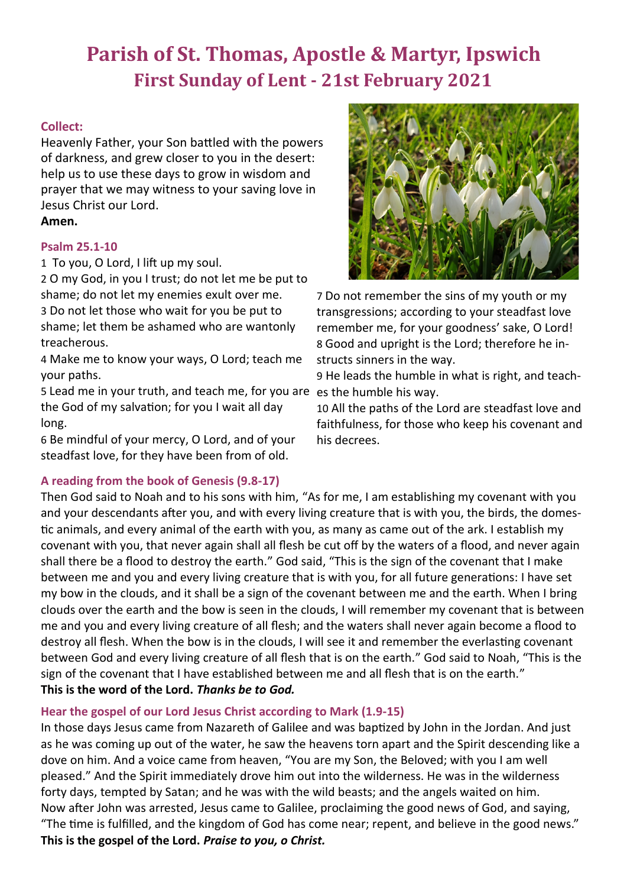# **Parish of St. Thomas, Apostle & Martyr, Ipswich First Sunday of Lent - 21st February 2021**

## **Collect:**

Heavenly Father, your Son battled with the powers of darkness, and grew closer to you in the desert: help us to use these days to grow in wisdom and prayer that we may witness to your saving love in Jesus Christ our Lord.

## **Amen.**

## **Psalm 25.1-10**

1 To you, O Lord, I lift up my soul.

2 O my God, in you I trust; do not let me be put to shame; do not let my enemies exult over me. 3 Do not let those who wait for you be put to shame; let them be ashamed who are wantonly treacherous.

4 Make me to know your ways, O Lord; teach me your paths.

5 Lead me in your truth, and teach me, for you are es the humble his way. the God of my salvation; for you I wait all day long.

6 Be mindful of your mercy, O Lord, and of your steadfast love, for they have been from of old.

## **A reading from the book of Genesis (9.8-17)**



7 Do not remember the sins of my youth or my transgressions; according to your steadfast love remember me, for your goodness' sake, O Lord! 8 Good and upright is the Lord; therefore he instructs sinners in the way.

9 He leads the humble in what is right, and teach-

10 All the paths of the Lord are steadfast love and faithfulness, for those who keep his covenant and his decrees.

Then God said to Noah and to his sons with him, "As for me, I am establishing my covenant with you and your descendants after you, and with every living creature that is with you, the birds, the domestic animals, and every animal of the earth with you, as many as came out of the ark. I establish my covenant with you, that never again shall all flesh be cut off by the waters of a flood, and never again shall there be a flood to destroy the earth." God said, "This is the sign of the covenant that I make between me and you and every living creature that is with you, for all future generations: I have set my bow in the clouds, and it shall be a sign of the covenant between me and the earth. When I bring clouds over the earth and the bow is seen in the clouds, I will remember my covenant that is between me and you and every living creature of all flesh; and the waters shall never again become a flood to destroy all flesh. When the bow is in the clouds, I will see it and remember the everlasting covenant between God and every living creature of all flesh that is on the earth." God said to Noah, "This is the sign of the covenant that I have established between me and all flesh that is on the earth." **This is the word of the Lord.** *Thanks be to God.*

## **Hear the gospel of our Lord Jesus Christ according to Mark (1.9-15)**

In those days Jesus came from Nazareth of Galilee and was baptized by John in the Jordan. And just as he was coming up out of the water, he saw the heavens torn apart and the Spirit descending like a dove on him. And a voice came from heaven, "You are my Son, the Beloved; with you I am well pleased." And the Spirit immediately drove him out into the wilderness. He was in the wilderness forty days, tempted by Satan; and he was with the wild beasts; and the angels waited on him. Now after John was arrested, Jesus came to Galilee, proclaiming the good news of God, and saying, "The time is fulfilled, and the kingdom of God has come near; repent, and believe in the good news." **This is the gospel of the Lord.** *Praise to you, o Christ.*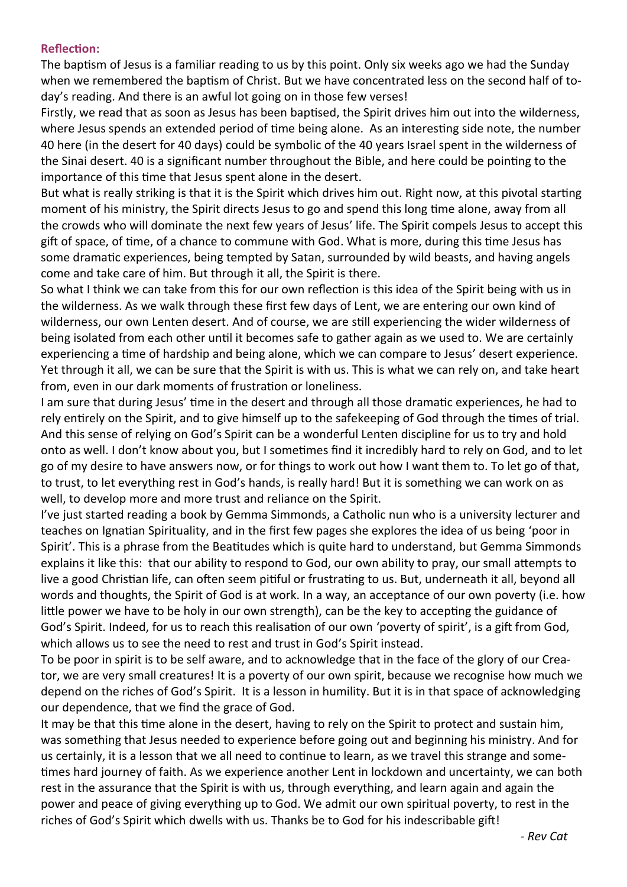## **Reflection:**

The baptism of Jesus is a familiar reading to us by this point. Only six weeks ago we had the Sunday when we remembered the baptism of Christ. But we have concentrated less on the second half of today's reading. And there is an awful lot going on in those few verses!

Firstly, we read that as soon as Jesus has been baptised, the Spirit drives him out into the wilderness, where Jesus spends an extended period of time being alone. As an interesting side note, the number 40 here (in the desert for 40 days) could be symbolic of the 40 years Israel spent in the wilderness of the Sinai desert. 40 is a significant number throughout the Bible, and here could be pointing to the importance of this time that Jesus spent alone in the desert.

But what is really striking is that it is the Spirit which drives him out. Right now, at this pivotal starting moment of his ministry, the Spirit directs Jesus to go and spend this long time alone, away from all the crowds who will dominate the next few years of Jesus' life. The Spirit compels Jesus to accept this gift of space, of time, of a chance to commune with God. What is more, during this time Jesus has some dramatic experiences, being tempted by Satan, surrounded by wild beasts, and having angels come and take care of him. But through it all, the Spirit is there.

So what I think we can take from this for our own reflection is this idea of the Spirit being with us in the wilderness. As we walk through these first few days of Lent, we are entering our own kind of wilderness, our own Lenten desert. And of course, we are still experiencing the wider wilderness of being isolated from each other until it becomes safe to gather again as we used to. We are certainly experiencing a time of hardship and being alone, which we can compare to Jesus' desert experience. Yet through it all, we can be sure that the Spirit is with us. This is what we can rely on, and take heart from, even in our dark moments of frustration or loneliness.

I am sure that during Jesus' time in the desert and through all those dramatic experiences, he had to rely entirely on the Spirit, and to give himself up to the safekeeping of God through the times of trial. And this sense of relying on God's Spirit can be a wonderful Lenten discipline for us to try and hold onto as well. I don't know about you, but I sometimes find it incredibly hard to rely on God, and to let go of my desire to have answers now, or for things to work out how I want them to. To let go of that, to trust, to let everything rest in God's hands, is really hard! But it is something we can work on as well, to develop more and more trust and reliance on the Spirit.

I've just started reading a book by Gemma Simmonds, a Catholic nun who is a university lecturer and teaches on Ignatian Spirituality, and in the first few pages she explores the idea of us being 'poor in Spirit'. This is a phrase from the Beatitudes which is quite hard to understand, but Gemma Simmonds explains it like this: that our ability to respond to God, our own ability to pray, our small attempts to live a good Christian life, can often seem pitiful or frustrating to us. But, underneath it all, beyond all words and thoughts, the Spirit of God is at work. In a way, an acceptance of our own poverty (i.e. how little power we have to be holy in our own strength), can be the key to accepting the guidance of God's Spirit. Indeed, for us to reach this realisation of our own 'poverty of spirit', is a gift from God, which allows us to see the need to rest and trust in God's Spirit instead.

To be poor in spirit is to be self aware, and to acknowledge that in the face of the glory of our Creator, we are very small creatures! It is a poverty of our own spirit, because we recognise how much we depend on the riches of God's Spirit. It is a lesson in humility. But it is in that space of acknowledging our dependence, that we find the grace of God.

It may be that this time alone in the desert, having to rely on the Spirit to protect and sustain him, was something that Jesus needed to experience before going out and beginning his ministry. And for us certainly, it is a lesson that we all need to continue to learn, as we travel this strange and sometimes hard journey of faith. As we experience another Lent in lockdown and uncertainty, we can both rest in the assurance that the Spirit is with us, through everything, and learn again and again the power and peace of giving everything up to God. We admit our own spiritual poverty, to rest in the riches of God's Spirit which dwells with us. Thanks be to God for his indescribable gift!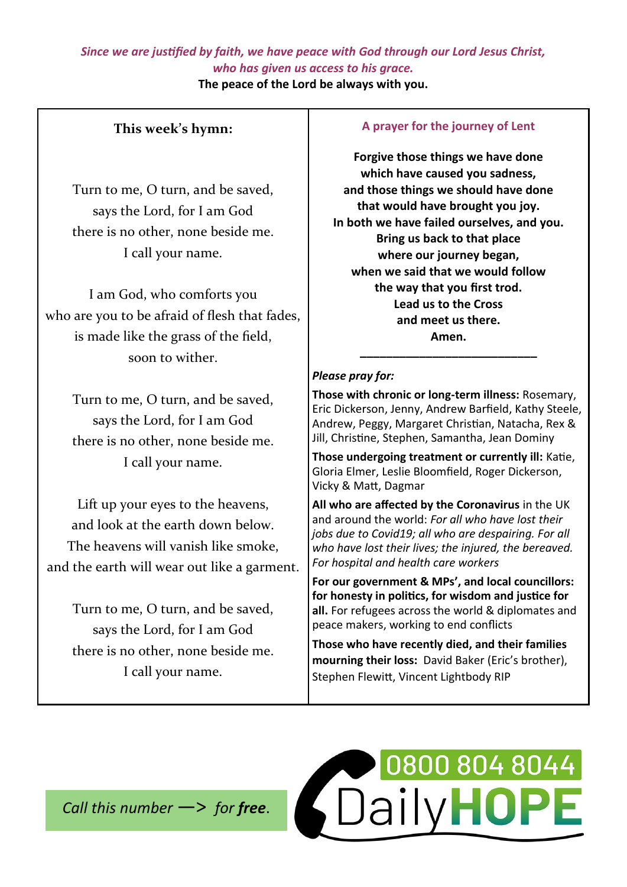## *Since we are justified by faith, we have peace with God through our Lord Jesus Christ, who has given us access to his grace.*

**The peace of the Lord be always with you.**

## **This week's hymn:**

Turn to me, O turn, and be saved, says the Lord, for I am God there is no other, none [beside](https://www.definitions.net/definition/beside) me. I call your name.

I am God, who [comforts y](https://www.definitions.net/definition/comforts)ou who are you to be [afraid o](https://www.definitions.net/definition/afraid)f [flesh t](https://www.definitions.net/definition/flesh)hat fades, is made like the [grass](https://www.definitions.net/definition/grass) of the field, soon to wither.

> Turn to me, O turn, and be saved, says the Lord, for I am God there is no other, none [beside](https://www.definitions.net/definition/beside) me. I call your name.

Lift up your eyes to the heavens, and look at the [earth d](https://www.definitions.net/definition/earth)own below. The [heavens w](https://www.definitions.net/definition/heavens)ill [vanish](https://www.definitions.net/definition/vanish) like smoke, and the [earth w](https://www.definitions.net/definition/earth)ill wear out like a garment.

Turn to me, O turn, and be saved, says the Lord, for I am God there is no other, none [beside](https://www.definitions.net/definition/beside) me. I call your name.

## **A prayer for the journey of Lent**

**Forgive those things we have done which have caused you sadness, and those things we should have done that would have brought you joy. In both we have failed ourselves, and you. Bring us back to that place where our journey began, when we said that we would follow the way that you first trod. Lead us to the Cross and meet us there. Amen. \_\_\_\_\_\_\_\_\_\_\_\_\_\_\_\_\_\_\_\_\_\_\_\_\_\_\_**

## *Please pray for:*

**Those with chronic or long-term illness:** Rosemary, Eric Dickerson, Jenny, Andrew Barfield, Kathy Steele, Andrew, Peggy, Margaret Christian, Natacha, Rex & Jill, Christine, Stephen, Samantha, Jean Dominy

**Those undergoing treatment or currently ill:** Katie, Gloria Elmer, Leslie Bloomfield, Roger Dickerson, Vicky & Matt, Dagmar

**All who are affected by the Coronavirus** in the UK and around the world: *For all who have lost their jobs due to Covid19; all who are despairing. For all who have lost their lives; the injured, the bereaved. For hospital and health care workers*

**For our government & MPs', and local councillors: for honesty in politics, for wisdom and justice for all.** For refugees across the world & diplomates and peace makers, working to end conflicts

**Those who have recently died, and their families mourning their loss:** David Baker (Eric's brother), Stephen Flewitt, Vincent Lightbody RIP

*Call this number* —> *for free*.